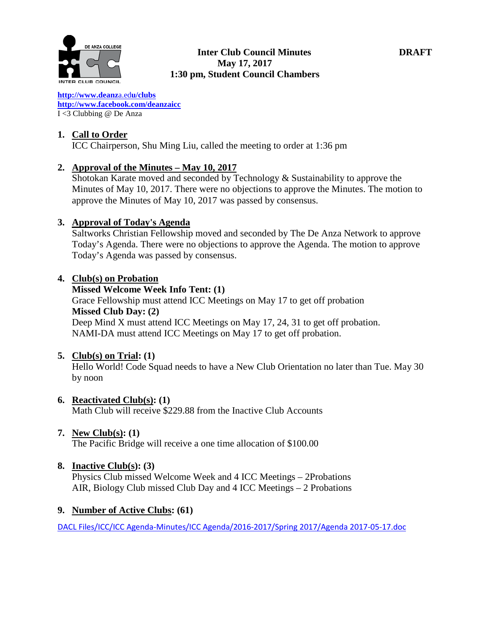

### **Inter Club Council Minutes DRAFT May 17, 2017 1:30 pm, Student Council Chambers**

**[http://www.deanz](http://www.deanza.edu/clubs)**[a.ed](http://www.deanza.edu/clubs)**[u/clubs](http://www.deanza.edu/clubs) [http://www.facebook.com/deanzaicc](http://www.facebook.com/home.php#!/group.php?gid=59034552686)** I <3 Clubbing @ De Anza

# **1. Call to Order**

ICC Chairperson, Shu Ming Liu, called the meeting to order at 1:36 pm

# **2. Approval of the Minutes – May 10, 2017**

Shotokan Karate moved and seconded by Technology & Sustainability to approve the Minutes of May 10, 2017. There were no objections to approve the Minutes. The motion to approve the Minutes of May 10, 2017 was passed by consensus.

# **3. Approval of Today's Agenda**

Saltworks Christian Fellowship moved and seconded by The De Anza Network to approve Today's Agenda. There were no objections to approve the Agenda. The motion to approve Today's Agenda was passed by consensus.

# **4. Club(s) on Probation**

### **Missed Welcome Week Info Tent: (1)**

Grace Fellowship must attend ICC Meetings on May 17 to get off probation **Missed Club Day: (2)** Deep Mind X must attend ICC Meetings on May 17, 24, 31 to get off probation. NAMI-DA must attend ICC Meetings on May 17 to get off probation.

# **5. Club(s) on Trial: (1)**

Hello World! Code Squad needs to have a New Club Orientation no later than Tue. May 30 by noon

# **6. Reactivated Club(s): (1)**

Math Club will receive \$229.88 from the Inactive Club Accounts

# **7. New Club(s): (1)**

The Pacific Bridge will receive a one time allocation of \$100.00

# **8. Inactive Club(s): (3)**

Physics Club missed Welcome Week and 4 ICC Meetings – 2Probations AIR, Biology Club missed Club Day and 4 ICC Meetings – 2 Probations

# **9. Number of Active Clubs: (61)**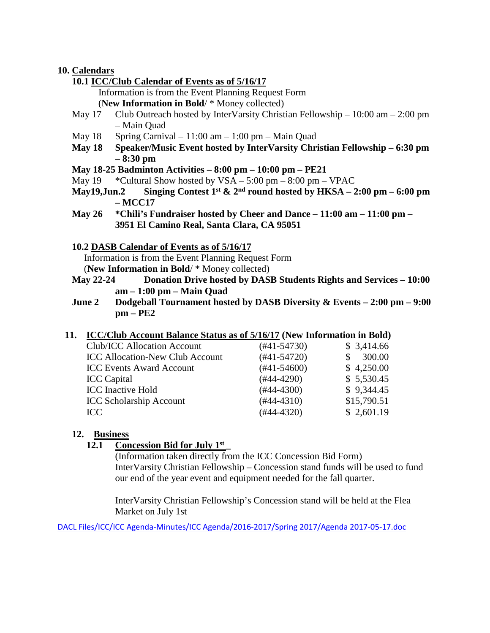### **10. Calendars**

- **10.1 ICC/Club Calendar of Events as of 5/16/17**
	- Information is from the Event Planning Request Form
	- (**New Information in Bold**/ \* Money collected)
- May 17 Club Outreach hosted by InterVarsity Christian Fellowship 10:00 am 2:00 pm – Main Quad
- May  $18$  Spring Carnival  $11:00$  am  $1:00$  pm Main Quad
- **May 18 Speaker/Music Event hosted by InterVarsity Christian Fellowship – 6:30 pm – 8:30 pm**
- **May 18-25 Badminton Activities – 8:00 pm – 10:00 pm – PE21**
- May  $19$  \*Cultural Show hosted by  $VSA 5:00 \text{ pm} 8:00 \text{ pm} \text{VPAC}$
- **May19, Jun.2** Singing Contest 1<sup>st</sup>  $\&$  2<sup>nd</sup> round hosted by HKSA 2:00 pm 6:00 pm **– MCC17**
- **May 26 \*Chili's Fundraiser hosted by Cheer and Dance – 11:00 am – 11:00 pm – 3951 El Camino Real, Santa Clara, CA 95051**
- **10.2 DASB Calendar of Events as of 5/16/17**

Information is from the Event Planning Request Form

(**New Information in Bold**/ \* Money collected)

- **May 22-24 Donation Drive hosted by DASB Students Rights and Services – 10:00 am – 1:00 pm – Main Quad**
- **June 2 Dodgeball Tournament hosted by DASB Diversity & Events – 2:00 pm – 9:00 pm – PE2**

### **11. ICC/Club Account Balance Status as of 5/16/17 (New Information in Bold)**

| Club/ICC Allocation Account            | $(#41-54730)$ | \$3,414.66  |
|----------------------------------------|---------------|-------------|
| <b>ICC Allocation-New Club Account</b> | $(#41-54720)$ | 300.00      |
| <b>ICC Events Award Account</b>        | $(#41-54600)$ | \$4,250.00  |
| <b>ICC</b> Capital                     | $(#44-4290)$  | \$5,530.45  |
| <b>ICC</b> Inactive Hold               | $(#44-4300)$  | \$9,344.45  |
| <b>ICC Scholarship Account</b>         | $(#44-4310)$  | \$15,790.51 |
| ICC.                                   | $(#44-4320)$  | \$2,601.19  |
|                                        |               |             |

### **12. Business**

#### **12.1 Concession Bid for July 1st \_**

(Information taken directly from the ICC Concession Bid Form) InterVarsity Christian Fellowship – Concession stand funds will be used to fund our end of the year event and equipment needed for the fall quarter.

InterVarsity Christian Fellowship's Concession stand will be held at the Flea Market on July 1st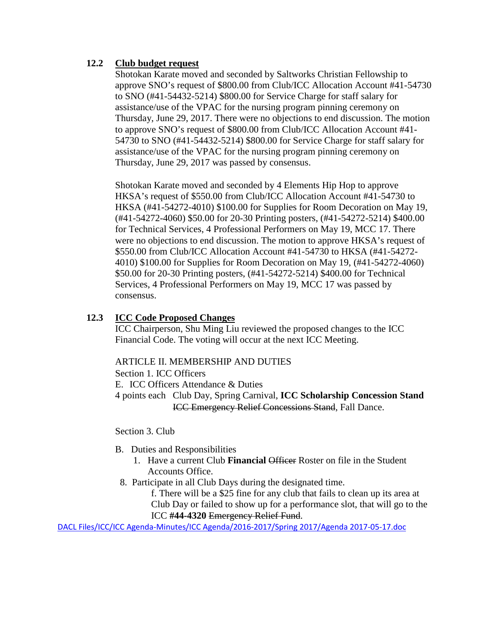# **12.2 Club budget request**

Shotokan Karate moved and seconded by Saltworks Christian Fellowship to approve SNO's request of \$800.00 from Club/ICC Allocation Account #41-54730 to SNO (#41-54432-5214) \$800.00 for Service Charge for staff salary for assistance/use of the VPAC for the nursing program pinning ceremony on Thursday, June 29, 2017. There were no objections to end discussion. The motion to approve SNO's request of \$800.00 from Club/ICC Allocation Account #41- 54730 to SNO (#41-54432-5214) \$800.00 for Service Charge for staff salary for assistance/use of the VPAC for the nursing program pinning ceremony on Thursday, June 29, 2017 was passed by consensus.

Shotokan Karate moved and seconded by 4 Elements Hip Hop to approve HKSA's request of \$550.00 from Club/ICC Allocation Account #41-54730 to HKSA (#41-54272-4010) \$100.00 for Supplies for Room Decoration on May 19, (#41-54272-4060) \$50.00 for 20-30 Printing posters, (#41-54272-5214) \$400.00 for Technical Services, 4 Professional Performers on May 19, MCC 17. There were no objections to end discussion. The motion to approve HKSA's request of \$550.00 from Club/ICC Allocation Account #41-54730 to HKSA (#41-54272- 4010) \$100.00 for Supplies for Room Decoration on May 19, (#41-54272-4060) \$50.00 for 20-30 Printing posters, (#41-54272-5214) \$400.00 for Technical Services, 4 Professional Performers on May 19, MCC 17 was passed by consensus.

## **12.3 ICC Code Proposed Changes**

ICC Chairperson, Shu Ming Liu reviewed the proposed changes to the ICC Financial Code. The voting will occur at the next ICC Meeting.

### ARTICLE II. MEMBERSHIP AND DUTIES

Section 1. ICC Officers E. ICC Officers Attendance & Duties 4 points each Club Day, Spring Carnival, **ICC Scholarship Concession Stand** ICC Emergency Relief Concessions Stand, Fall Dance.

Section 3. Club

- B. Duties and Responsibilities
	- 1. Have a current Club **Financial** Officer Roster on file in the Student Accounts Office.
	- 8. Participate in all Club Days during the designated time.

f. There will be a \$25 fine for any club that fails to clean up its area at Club Day or failed to show up for a performance slot, that will go to the ICC **#44-4320** Emergency Relief Fund.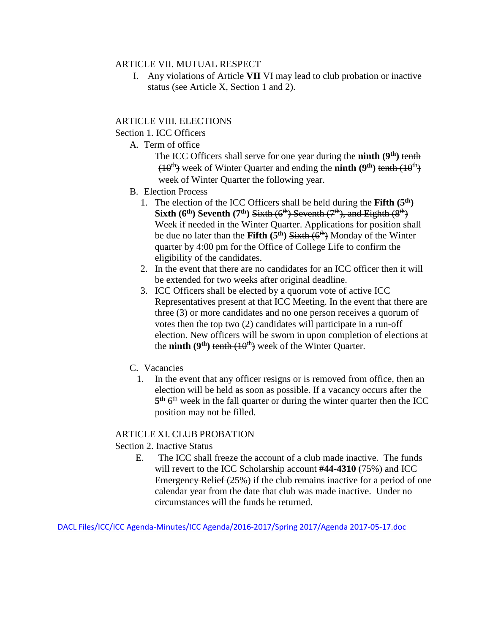#### ARTICLE VII. MUTUAL RESPECT

I. Any violations of Article **VII** VI may lead to club probation or inactive status (see Article X, Section 1 and 2).

## ARTICLE VIII. ELECTIONS

#### Section 1. ICC Officers

- A. Term of office
	- The ICC Officers shall serve for one year during the **ninth** (9<sup>th</sup>) tenth  $(10<sup>th</sup>)$  week of Winter Quarter and ending the **ninth**  $(9<sup>th</sup>)$  tenth  $(10<sup>th</sup>)$ week of Winter Quarter the following year.
- B. Election Process
	- 1. The election of the ICC Officers shall be held during the **Fifth (5th) Sixth (6<sup>th</sup>) Seventh (7<sup>th</sup>) Sixth (6<sup>th</sup>) Seventh (7<sup>th</sup>), and Eighth (8<sup>th</sup>)** Week if needed in the Winter Quarter. Applications for position shall be due no later than the **Fifth (5<sup>th</sup>)** Sixth (6<sup>th</sup>)</sub> Monday of the Winter quarter by 4:00 pm for the Office of College Life to confirm the eligibility of the candidates.
	- 2. In the event that there are no candidates for an ICC officer then it will be extended for two weeks after original deadline.
	- 3. ICC Officers shall be elected by a quorum vote of active ICC Representatives present at that ICC Meeting. In the event that there are three (3) or more candidates and no one person receives a quorum of votes then the top two (2) candidates will participate in a run-off election. New officers will be sworn in upon completion of elections at the **ninth** ( $9<sup>th</sup>$ ) tenth ( $10<sup>th</sup>$ ) week of the Winter Quarter.
- C. Vacancies
	- 1. In the event that any officer resigns or is removed from office, then an election will be held as soon as possible. If a vacancy occurs after the  $5<sup>th</sup> 6<sup>th</sup>$  week in the fall quarter or during the winter quarter then the ICC position may not be filled.

### ARTICLE XI. CLUB PROBATION

### Section 2. Inactive Status

 E. The ICC shall freeze the account of a club made inactive. The funds will revert to the ICC Scholarship account #44-4310 (75%) and ICC Emergency Relief (25%) if the club remains inactive for a period of one calendar year from the date that club was made inactive. Under no circumstances will the funds be returned.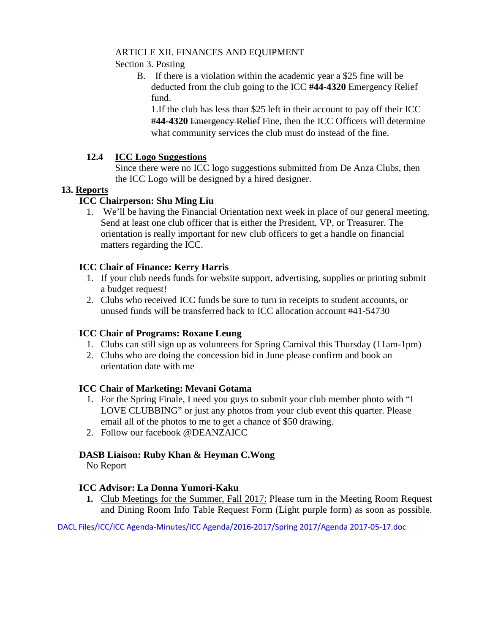# ARTICLE XII. FINANCES AND EQUIPMENT

Section 3. Posting

B. If there is a violation within the academic year a \$25 fine will be deducted from the club going to the ICC **#44-4320** Emergency Relief fund.

1.If the club has less than \$25 left in their account to pay off their ICC **#44-4320** Emergency Relief Fine, then the ICC Officers will determine what community services the club must do instead of the fine.

# **12.4 ICC Logo Suggestions**

Since there were no ICC logo suggestions submitted from De Anza Clubs, then the ICC Logo will be designed by a hired designer.

# **13. Reports**

# **ICC Chairperson: Shu Ming Liu**

1. We'll be having the Financial Orientation next week in place of our general meeting. Send at least one club officer that is either the President, VP, or Treasurer. The orientation is really important for new club officers to get a handle on financial matters regarding the ICC.

# **ICC Chair of Finance: Kerry Harris**

- 1. If your club needs funds for website support, advertising, supplies or printing submit a budget request!
- 2. Clubs who received ICC funds be sure to turn in receipts to student accounts, or unused funds will be transferred back to ICC allocation account #41-54730

# **ICC Chair of Programs: Roxane Leung**

- 1. Clubs can still sign up as volunteers for Spring Carnival this Thursday (11am-1pm)
- 2. Clubs who are doing the concession bid in June please confirm and book an orientation date with me

### **ICC Chair of Marketing: Mevani Gotama**

- 1. For the Spring Finale, I need you guys to submit your club member photo with "I LOVE CLUBBING" or just any photos from your club event this quarter. Please email all of the photos to me to get a chance of \$50 drawing.
- 2. Follow our facebook @DEANZAICC

# **DASB Liaison: Ruby Khan & Heyman C.Wong**

No Report

# **ICC Advisor: La Donna Yumori-Kaku**

**1.** Club Meetings for the Summer, Fall 2017: Please turn in the Meeting Room Request and Dining Room Info Table Request Form (Light purple form) as soon as possible.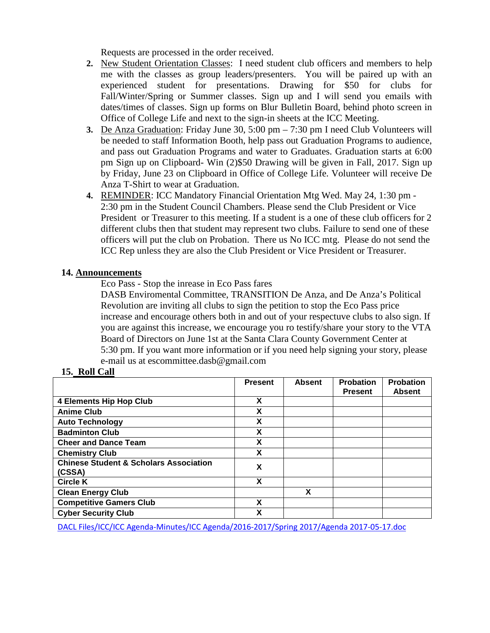Requests are processed in the order received.

- **2.** New Student Orientation Classes: I need student club officers and members to help me with the classes as group leaders/presenters. You will be paired up with an experienced student for presentations. Drawing for \$50 for clubs for Fall/Winter/Spring or Summer classes. Sign up and I will send you emails with dates/times of classes. Sign up forms on Blur Bulletin Board, behind photo screen in Office of College Life and next to the sign-in sheets at the ICC Meeting.
- **3.** De Anza Graduation: Friday June 30, 5:00 pm 7:30 pm I need Club Volunteers will be needed to staff Information Booth, help pass out Graduation Programs to audience, and pass out Graduation Programs and water to Graduates. Graduation starts at 6:00 pm Sign up on Clipboard- Win (2)\$50 Drawing will be given in Fall, 2017. Sign up by Friday, June 23 on Clipboard in Office of College Life. Volunteer will receive De Anza T-Shirt to wear at Graduation.
- **4.** REMINDER: ICC Mandatory Financial Orientation Mtg Wed. May 24, 1:30 pm 2:30 pm in the Student Council Chambers. Please send the Club President or Vice President or Treasurer to this meeting. If a student is a one of these club officers for 2 different clubs then that student may represent two clubs. Failure to send one of these officers will put the club on Probation. There us No ICC mtg. Please do not send the ICC Rep unless they are also the Club President or Vice President or Treasurer.

### **14. Announcements**

Eco Pass - Stop the inrease in Eco Pass fares

DASB Enviromental Committee, TRANSITION De Anza, and De Anza's Political Revolution are inviting all clubs to sign the petition to stop the Eco Pass price increase and encourage others both in and out of your respectuve clubs to also sign. If you are against this increase, we encourage you ro testify/share your story to the VTA Board of Directors on June 1st at the Santa Clara County Government Center at 5:30 pm. If you want more information or if you need help signing your story, please e-mail us at escommittee.dasb@gmail.com

# **15. Roll Call**

|                                                             | <b>Present</b> | <b>Absent</b> | <b>Probation</b> | <b>Probation</b> |
|-------------------------------------------------------------|----------------|---------------|------------------|------------------|
|                                                             |                |               | <b>Present</b>   | <b>Absent</b>    |
| <b>4 Elements Hip Hop Club</b>                              | X              |               |                  |                  |
| <b>Anime Club</b>                                           | X              |               |                  |                  |
| <b>Auto Technology</b>                                      | X              |               |                  |                  |
| <b>Badminton Club</b>                                       | X              |               |                  |                  |
| <b>Cheer and Dance Team</b>                                 | X              |               |                  |                  |
| <b>Chemistry Club</b>                                       | X              |               |                  |                  |
| <b>Chinese Student &amp; Scholars Association</b><br>(CSSA) | X              |               |                  |                  |
| <b>Circle K</b>                                             | X              |               |                  |                  |
| <b>Clean Energy Club</b>                                    |                | X             |                  |                  |
| <b>Competitive Gamers Club</b>                              | X              |               |                  |                  |
| <b>Cyber Security Club</b>                                  | χ              |               |                  |                  |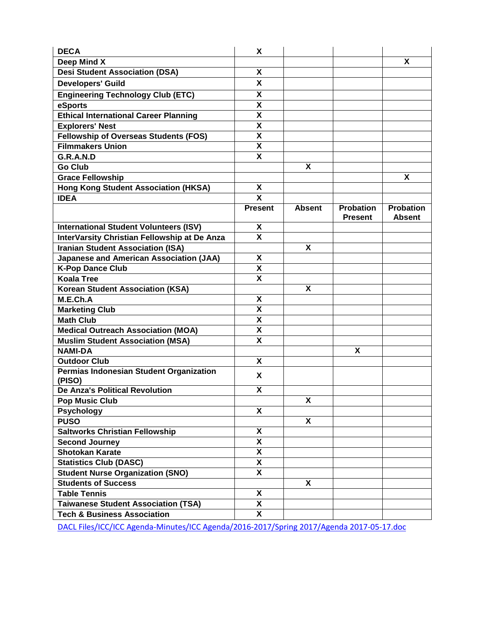| <b>DECA</b>                                       | X                       |               |                                    |                                   |
|---------------------------------------------------|-------------------------|---------------|------------------------------------|-----------------------------------|
| Deep Mind X                                       |                         |               |                                    | X                                 |
| <b>Desi Student Association (DSA)</b>             | X                       |               |                                    |                                   |
| <b>Developers' Guild</b>                          | X                       |               |                                    |                                   |
| <b>Engineering Technology Club (ETC)</b>          | χ                       |               |                                    |                                   |
| eSports                                           | X                       |               |                                    |                                   |
| <b>Ethical International Career Planning</b>      | X                       |               |                                    |                                   |
| <b>Explorers' Nest</b>                            | X                       |               |                                    |                                   |
| <b>Fellowship of Overseas Students (FOS)</b>      | $\pmb{\mathsf{X}}$      |               |                                    |                                   |
| <b>Filmmakers Union</b>                           | $\overline{\mathbf{x}}$ |               |                                    |                                   |
| G.R.A.N.D                                         | $\pmb{\mathsf{X}}$      |               |                                    |                                   |
| <b>Go Club</b>                                    |                         | X             |                                    |                                   |
| <b>Grace Fellowship</b>                           |                         |               |                                    | X                                 |
| <b>Hong Kong Student Association (HKSA)</b>       | X                       |               |                                    |                                   |
| <b>IDEA</b>                                       | X                       |               |                                    |                                   |
|                                                   | <b>Present</b>          | <b>Absent</b> | <b>Probation</b><br><b>Present</b> | <b>Probation</b><br><b>Absent</b> |
| <b>International Student Volunteers (ISV)</b>     | X                       |               |                                    |                                   |
| InterVarsity Christian Fellowship at De Anza      | X                       |               |                                    |                                   |
| <b>Iranian Student Association (ISA)</b>          |                         | X             |                                    |                                   |
| <b>Japanese and American Association (JAA)</b>    | X                       |               |                                    |                                   |
| <b>K-Pop Dance Club</b>                           | $\pmb{\mathsf{X}}$      |               |                                    |                                   |
| <b>Koala Tree</b>                                 | X                       |               |                                    |                                   |
| <b>Korean Student Association (KSA)</b>           |                         | X             |                                    |                                   |
| M.E.Ch.A                                          | X                       |               |                                    |                                   |
| <b>Marketing Club</b>                             | $\overline{\mathbf{X}}$ |               |                                    |                                   |
| <b>Math Club</b>                                  | X                       |               |                                    |                                   |
| <b>Medical Outreach Association (MOA)</b>         | X                       |               |                                    |                                   |
| <b>Muslim Student Association (MSA)</b>           | X                       |               |                                    |                                   |
| <b>NAMI-DA</b>                                    |                         |               | X                                  |                                   |
| <b>Outdoor Club</b>                               | X                       |               |                                    |                                   |
| Permias Indonesian Student Organization<br>(PISO) | X                       |               |                                    |                                   |
| <b>De Anza's Political Revolution</b>             | X                       |               |                                    |                                   |
| <b>Pop Music Club</b>                             |                         | X             |                                    |                                   |
| <b>Psychology</b>                                 | X                       |               |                                    |                                   |
| <b>PUSO</b>                                       |                         | X             |                                    |                                   |
| <b>Saltworks Christian Fellowship</b>             | $\pmb{\mathsf{X}}$      |               |                                    |                                   |
| <b>Second Journey</b>                             | X                       |               |                                    |                                   |
| <b>Shotokan Karate</b>                            | X                       |               |                                    |                                   |
| <b>Statistics Club (DASC)</b>                     | X                       |               |                                    |                                   |
| <b>Student Nurse Organization (SNO)</b>           | $\overline{\mathbf{x}}$ |               |                                    |                                   |
| <b>Students of Success</b>                        |                         | X             |                                    |                                   |
| <b>Table Tennis</b>                               | X                       |               |                                    |                                   |
| <b>Taiwanese Student Association (TSA)</b>        | X                       |               |                                    |                                   |
| <b>Tech &amp; Business Association</b>            | X                       |               |                                    |                                   |